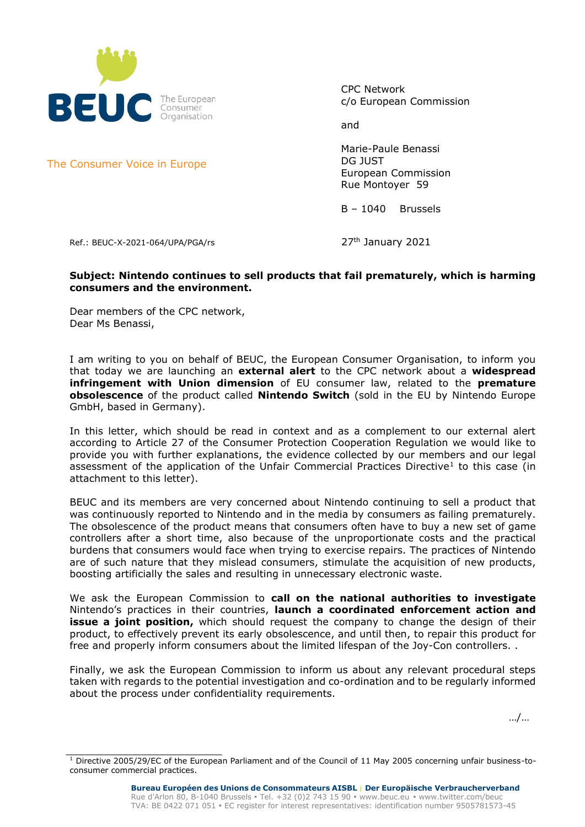

CPC Network c/o European Commission

and

Marie-Paule Benassi DG JUST European Commission Rue Montoyer 59

B – 1040 Brussels

Ref.: BEUC-X-2021-064/UPA/PGA/rs  $27<sup>th</sup>$  January 2021

 $\frac{1}{2}$  ,  $\frac{1}{2}$  ,  $\frac{1}{2}$  ,  $\frac{1}{2}$  ,  $\frac{1}{2}$  ,  $\frac{1}{2}$  ,  $\frac{1}{2}$  ,  $\frac{1}{2}$  ,  $\frac{1}{2}$  ,  $\frac{1}{2}$  ,  $\frac{1}{2}$  ,  $\frac{1}{2}$  ,  $\frac{1}{2}$  ,  $\frac{1}{2}$  ,  $\frac{1}{2}$  ,  $\frac{1}{2}$  ,  $\frac{1}{2}$  ,  $\frac{1}{2}$  ,  $\frac{1$ 

### **Subject: Nintendo continues to sell products that fail prematurely, which is harming consumers and the environment.**

Dear members of the CPC network, Dear Ms Benassi,

I am writing to you on behalf of BEUC, the European Consumer Organisation, to inform you that today we are launching an **external alert** to the CPC network about a **widespread infringement with Union dimension** of EU consumer law, related to the **premature obsolescence** of the product called **Nintendo Switch** (sold in the EU by Nintendo Europe GmbH, based in Germany).

In this letter, which should be read in context and as a complement to our external alert according to Article 27 of the Consumer Protection Cooperation Regulation we would like to provide you with further explanations, the evidence collected by our members and our legal assessment of the application of the Unfair Commercial Practices Directive<sup>1</sup> to this case (in attachment to this letter).

BEUC and its members are very concerned about Nintendo continuing to sell a product that was continuously reported to Nintendo and in the media by consumers as failing prematurely. The obsolescence of the product means that consumers often have to buy a new set of game controllers after a short time, also because of the unproportionate costs and the practical burdens that consumers would face when trying to exercise repairs. The practices of Nintendo are of such nature that they mislead consumers, stimulate the acquisition of new products, boosting artificially the sales and resulting in unnecessary electronic waste.

We ask the European Commission to **call on the national authorities to investigate** Nintendo's practices in their countries, **launch a coordinated enforcement action and issue a joint position,** which should request the company to change the design of their product, to effectively prevent its early obsolescence, and until then, to repair this product for free and properly inform consumers about the limited lifespan of the Joy-Con controllers. .

Finally, we ask the European Commission to inform us about any relevant procedural steps taken with regards to the potential investigation and co-ordination and to be regularly informed about the process under confidentiality requirements.

…/…

The Consumer Voice in Europe

 $1$  Directive 2005/29/EC of the European Parliament and of the Council of 11 May 2005 concerning unfair business-toconsumer commercial practices.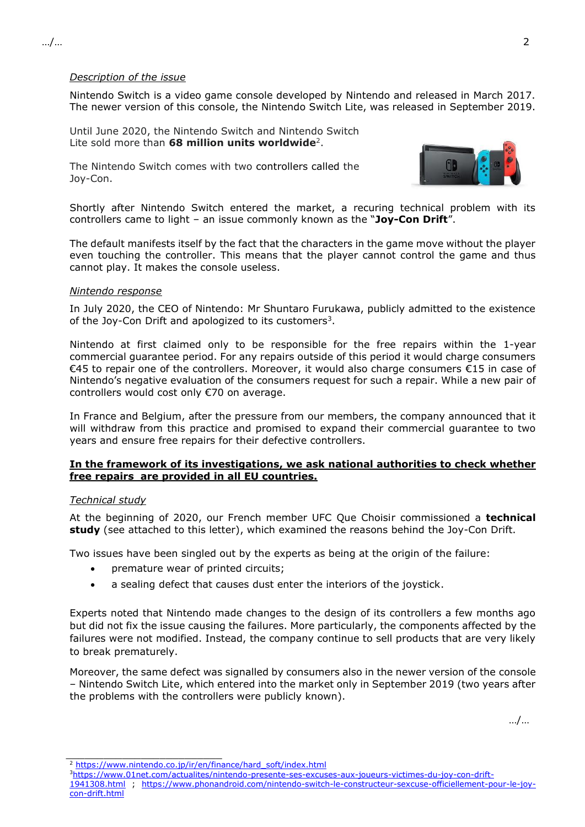### *Description of the issue*

Nintendo Switch is a video game console developed by Nintendo and released in March 2017. The newer version of this console, the Nintendo Switch Lite, was released in September 2019.

Until June 2020, the Nintendo Switch and Nintendo Switch Lite sold more than **68 million units worldwide**<sup>2</sup> .

The Nintendo Switch comes with two controllers called the Joy-Con.



Shortly after Nintendo Switch entered the market, a recuring technical problem with its controllers came to light – an issue commonly known as the "**Joy-Con Drift**".

The default manifests itself by the fact that the characters in the game move without the player even touching the controller. This means that the player cannot control the game and thus cannot play. It makes the console useless.

#### *Nintendo response*

In July 2020, the CEO of Nintendo: Mr Shuntaro Furukawa, publicly admitted to the existence of the Joy-Con Drift and apologized to its customers<sup>3</sup>.

Nintendo at first claimed only to be responsible for the free repairs within the 1-year commercial guarantee period. For any repairs outside of this period it would charge consumers €45 to repair one of the controllers. Moreover, it would also charge consumers €15 in case of Nintendo's negative evaluation of the consumers request for such a repair. While a new pair of controllers would cost only €70 on average.

In France and Belgium, after the pressure from our members, the company announced that it will withdraw from this practice and promised to expand their commercial guarantee to two years and ensure free repairs for their defective controllers.

### **In the framework of its investigations, we ask national authorities to check whether free repairs are provided in all EU countries.**

### *Technical study*

At the beginning of 2020, our French member UFC Que Choisir commissioned a **technical study** (see attached to this letter), which examined the reasons behind the Joy-Con Drift.

Two issues have been singled out by the experts as being at the origin of the failure:

- premature wear of printed circuits;
- a sealing defect that causes dust enter the interiors of the joystick.

Experts noted that Nintendo made changes to the design of its controllers a few months ago but did not fix the issue causing the failures. More particularly, the components affected by the failures were not modified. Instead, the company continue to sell products that are very likely to break prematurely.

Moreover, the same defect was signalled by consumers also in the newer version of the console – Nintendo Switch Lite, which entered into the market only in September 2019 (two years after the problems with the controllers were publicly known).

…/…

 $\frac{1}{2}$  ,  $\frac{1}{2}$  ,  $\frac{1}{2}$  ,  $\frac{1}{2}$  ,  $\frac{1}{2}$  ,  $\frac{1}{2}$  ,  $\frac{1}{2}$  ,  $\frac{1}{2}$  ,  $\frac{1}{2}$  ,  $\frac{1}{2}$  ,  $\frac{1}{2}$  ,  $\frac{1}{2}$  ,  $\frac{1}{2}$  ,  $\frac{1}{2}$  ,  $\frac{1}{2}$  ,  $\frac{1}{2}$  ,  $\frac{1}{2}$  ,  $\frac{1}{2}$  ,  $\frac{1$ 

<sup>&</sup>lt;sup>2</sup> [https://www.nintendo.co.jp/ir/en/finance/hard\\_soft/index.html](https://www.nintendo.co.jp/ir/en/finance/hard_soft/index.html)

<sup>3</sup>[https://www.01net.com/actualites/nintendo-presente-ses-excuses-aux-joueurs-victimes-du-joy-con-drift-](https://www.01net.com/actualites/nintendo-presente-ses-excuses-aux-joueurs-victimes-du-joy-con-drift-1941308.html)

[<sup>1941308.</sup>html](https://www.01net.com/actualites/nintendo-presente-ses-excuses-aux-joueurs-victimes-du-joy-con-drift-1941308.html) ; [https://www.phonandroid.com/nintendo-switch-le-constructeur-sexcuse-officiellement-pour-le-joy](https://www.phonandroid.com/nintendo-switch-le-constructeur-sexcuse-officiellement-pour-le-joy-con-drift.html)[con-drift.html](https://www.phonandroid.com/nintendo-switch-le-constructeur-sexcuse-officiellement-pour-le-joy-con-drift.html)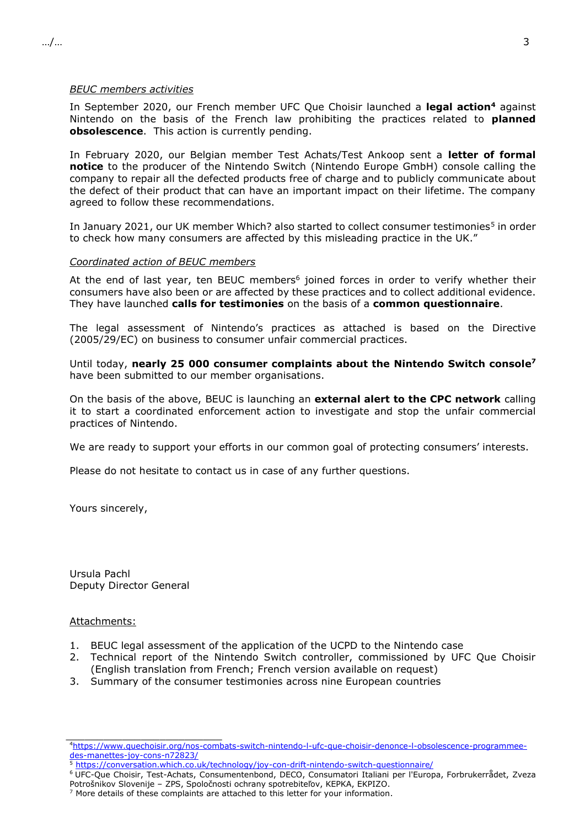#### *BEUC members activities*

In September 2020, our French member UFC Que Choisir launched a **legal action<sup>4</sup>** against Nintendo on the basis of the French law prohibiting the practices related to **planned obsolescence**. This action is currently pending.

In February 2020, our Belgian member Test Achats/Test Ankoop sent a **letter of formal notice** to the producer of the Nintendo Switch (Nintendo Europe GmbH) console calling the company to repair all the defected products free of charge and to publicly communicate about the defect of their product that can have an important impact on their lifetime. The company agreed to follow these recommendations.

In January 2021, our UK member Which? also started to collect consumer testimonies<sup>5</sup> in order to check how many consumers are affected by this misleading practice in the UK."

### *Coordinated action of BEUC members*

At the end of last year, ten BEUC members<sup>6</sup> joined forces in order to verify whether their consumers have also been or are affected by these practices and to collect additional evidence. They have launched **calls for testimonies** on the basis of a **common questionnaire**.

The legal assessment of Nintendo's practices as attached is based on the Directive (2005/29/EC) on business to consumer unfair commercial practices.

Until today, **nearly 25 000 consumer complaints about the Nintendo Switch console 7** have been submitted to our member organisations.

On the basis of the above, BEUC is launching an **external alert to the CPC network** calling it to start a coordinated enforcement action to investigate and stop the unfair commercial practices of Nintendo.

We are ready to support your efforts in our common goal of protecting consumers' interests.

Please do not hesitate to contact us in case of any further questions.

Yours sincerely,

Ursula Pachl Deputy Director General

\_\_\_\_\_\_\_\_\_\_\_\_\_\_\_\_\_\_\_\_\_\_\_\_\_

### Attachments:

- 1. BEUC legal assessment of the application of the UCPD to the Nintendo case
- 2. Technical report of the Nintendo Switch controller, commissioned by UFC Que Choisir (English translation from French; French version available on request)
- 3. Summary of the consumer testimonies across nine European countries

<sup>4</sup>[https://www.quechoisir.org/nos-combats-switch-nintendo-l-ufc-que-choisir-denonce-l-obsolescence-programmee](https://www.quechoisir.org/nos-combats-switch-nintendo-l-ufc-que-choisir-denonce-l-obsolescence-programmee-des-manettes-joy-cons-n72823/)[des-manettes-joy-cons-n72823/](https://www.quechoisir.org/nos-combats-switch-nintendo-l-ufc-que-choisir-denonce-l-obsolescence-programmee-des-manettes-joy-cons-n72823/)

<sup>5</sup> <https://conversation.which.co.uk/technology/joy-con-drift-nintendo-switch-questionnaire/>

<sup>6</sup> UFC-Que Choisir, Test-Achats, Consumentenbond, DECO, Consumatori Italiani per l'Europa, Forbrukerrådet, Zveza Potrošnikov Slovenije – ZPS, Spoločnosti ochrany spotrebiteľov, KEPKA, EKPIZO.

 $7$  More details of these complaints are attached to this letter for your information.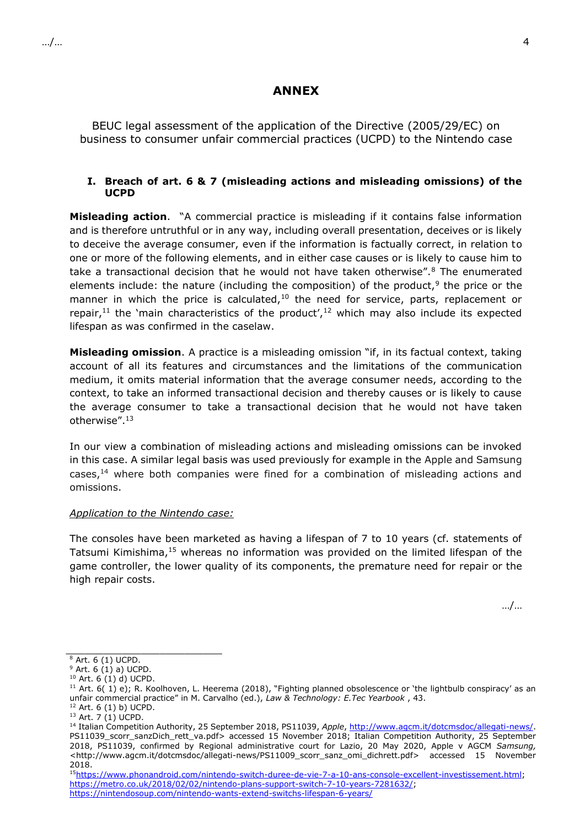## **ANNEX**

BEUC legal assessment of the application of the Directive (2005/29/EC) on business to consumer unfair commercial practices (UCPD) to the Nintendo case

### **I. Breach of art. 6 & 7 (misleading actions and misleading omissions) of the UCPD**

**Misleading action**. "A commercial practice is misleading if it contains false information and is therefore untruthful or in any way, including overall presentation, deceives or is likely to deceive the average consumer, even if the information is factually correct, in relation to one or more of the following elements, and in either case causes or is likely to cause him to take a transactional decision that he would not have taken otherwise".<sup>8</sup> The enumerated elements include: the nature (including the composition) of the product,<sup>9</sup> the price or the manner in which the price is calculated, $10$  the need for service, parts, replacement or repair,<sup>11</sup> the 'main characteristics of the product',<sup>12</sup> which may also include its expected lifespan as was confirmed in the caselaw.

**Misleading omission**. A practice is a misleading omission "if, in its factual context, taking account of all its features and circumstances and the limitations of the communication medium, it omits material information that the average consumer needs, according to the context, to take an informed transactional decision and thereby causes or is likely to cause the average consumer to take a transactional decision that he would not have taken otherwise".<sup>13</sup>

In our view a combination of misleading actions and misleading omissions can be invoked in this case. A similar legal basis was used previously for example in the Apple and Samsung cases, $14$  where both companies were fined for a combination of misleading actions and omissions.

### *Application to the Nintendo case:*

The consoles have been marketed as having a lifespan of 7 to 10 years (cf. statements of Tatsumi Kimishima,<sup>15</sup> whereas no information was provided on the limited lifespan of the game controller, the lower quality of its components, the premature need for repair or the high repair costs.

…/…

 $\frac{1}{2}$  ,  $\frac{1}{2}$  ,  $\frac{1}{2}$  ,  $\frac{1}{2}$  ,  $\frac{1}{2}$  ,  $\frac{1}{2}$  ,  $\frac{1}{2}$  ,  $\frac{1}{2}$  ,  $\frac{1}{2}$  ,  $\frac{1}{2}$  ,  $\frac{1}{2}$  ,  $\frac{1}{2}$  ,  $\frac{1}{2}$  ,  $\frac{1}{2}$  ,  $\frac{1}{2}$  ,  $\frac{1}{2}$  ,  $\frac{1}{2}$  ,  $\frac{1}{2}$  ,  $\frac{1$  $8$  Art. 6 (1) UCPD.

 $9$  Art. 6 (1) a) UCPD.

<sup>10</sup> Art. 6 (1) d) UCPD.

<sup>&</sup>lt;sup>11</sup> Art.  $6(1)$  e); R. Koolhoven, L. Heerema (2018), "Fighting planned obsolescence or 'the lightbulb conspiracy' as an unfair commercial practice" in M. Carvalho (ed.), *Law & Technology: E.Tec Yearbook* , 43.

<sup>12</sup> Art. 6 (1) b) UCPD.

 $13$  Art. 7 (1) UCPD.

<sup>14</sup> Italian Competition Authority, 25 September 2018, PS11039, *Apple*[, http://www.agcm.it/dotcmsdoc/allegati-news/.](http://www.agcm.it/dotcmsdoc/allegati-news/) PS11039\_scorr\_sanzDich\_rett\_va.pdf> accessed 15 November 2018; Italian Competition Authority, 25 September 2018, PS11039, confirmed by Regional administrative court for Lazio, 20 May 2020, Apple v AGCM *Samsung,*  <http://www.agcm.it/dotcmsdoc/allegati-news/PS11009\_scorr\_sanz\_omi\_dichrett.pdf> accessed 15 November 2018.

<sup>15</sup>[https://www.phonandroid.com/nintendo-switch-duree-de-vie-7-a-10-ans-console-excellent-investissement.html;](https://www.phonandroid.com/nintendo-switch-duree-de-vie-7-a-10-ans-console-excellent-investissement.html) [https://metro.co.uk/2018/02/02/nintendo-plans-support-switch-7-10-years-7281632/;](https://metro.co.uk/2018/02/02/nintendo-plans-support-switch-7-10-years-7281632/) <https://nintendosoup.com/nintendo-wants-extend-switchs-lifespan-6-years/>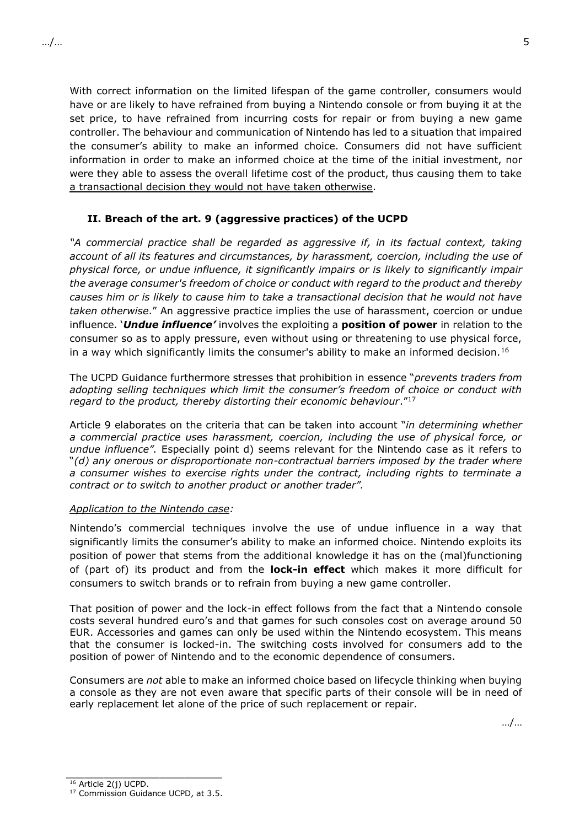With correct information on the limited lifespan of the game controller, consumers would have or are likely to have refrained from buying a Nintendo console or from buying it at the set price, to have refrained from incurring costs for repair or from buying a new game controller. The behaviour and communication of Nintendo has led to a situation that impaired the consumer's ability to make an informed choice. Consumers did not have sufficient information in order to make an informed choice at the time of the initial investment, nor were they able to assess the overall lifetime cost of the product, thus causing them to take a transactional decision they would not have taken otherwise.

# **II. Breach of the art. 9 (aggressive practices) of the UCPD**

*"A commercial practice shall be regarded as aggressive if, in its factual context, taking account of all its features and circumstances, by harassment, coercion, including the use of physical force, or undue influence, it significantly impairs or is likely to significantly impair the average consumer's freedom of choice or conduct with regard to the product and thereby causes him or is likely to cause him to take a transactional decision that he would not have taken otherwise*." An aggressive practice implies the use of harassment, coercion or undue influence. '*Undue influence'* involves the exploiting a **position of power** in relation to the consumer so as to apply pressure, even without using or threatening to use physical force, in a way which significantly limits the consumer's ability to make an informed decision.<sup>16</sup>

The UCPD Guidance furthermore stresses that prohibition in essence "*prevents traders from adopting selling techniques which limit the consumer's freedom of choice or conduct with regard to the product, thereby distorting their economic behaviour*."<sup>17</sup>

Article 9 elaborates on the criteria that can be taken into account "*in determining whether a commercial practice uses harassment, coercion, including the use of physical force, or undue influence".* Especially point d) seems relevant for the Nintendo case as it refers to "*(d) any onerous or disproportionate non-contractual barriers imposed by the trader where a consumer wishes to exercise rights under the contract, including rights to terminate a contract or to switch to another product or another trader".* 

### *Application to the Nintendo case:*

Nintendo's commercial techniques involve the use of undue influence in a way that significantly limits the consumer's ability to make an informed choice. Nintendo exploits its position of power that stems from the additional knowledge it has on the (mal)functioning of (part of) its product and from the **lock-in effect** which makes it more difficult for consumers to switch brands or to refrain from buying a new game controller.

That position of power and the lock-in effect follows from the fact that a Nintendo console costs several hundred euro's and that games for such consoles cost on average around 50 EUR. Accessories and games can only be used within the Nintendo ecosystem. This means that the consumer is locked-in. The switching costs involved for consumers add to the position of power of Nintendo and to the economic dependence of consumers.

Consumers are *not* able to make an informed choice based on lifecycle thinking when buying a console as they are not even aware that specific parts of their console will be in need of early replacement let alone of the price of such replacement or repair.

…/…

 $\frac{1}{2}$  ,  $\frac{1}{2}$  ,  $\frac{1}{2}$  ,  $\frac{1}{2}$  ,  $\frac{1}{2}$  ,  $\frac{1}{2}$  ,  $\frac{1}{2}$  ,  $\frac{1}{2}$  ,  $\frac{1}{2}$  ,  $\frac{1}{2}$  ,  $\frac{1}{2}$  ,  $\frac{1}{2}$  ,  $\frac{1}{2}$  ,  $\frac{1}{2}$  ,  $\frac{1}{2}$  ,  $\frac{1}{2}$  ,  $\frac{1}{2}$  ,  $\frac{1}{2}$  ,  $\frac{1$ 

<sup>16</sup> Article 2(j) UCPD.

<sup>&</sup>lt;sup>17</sup> Commission Guidance UCPD, at 3.5.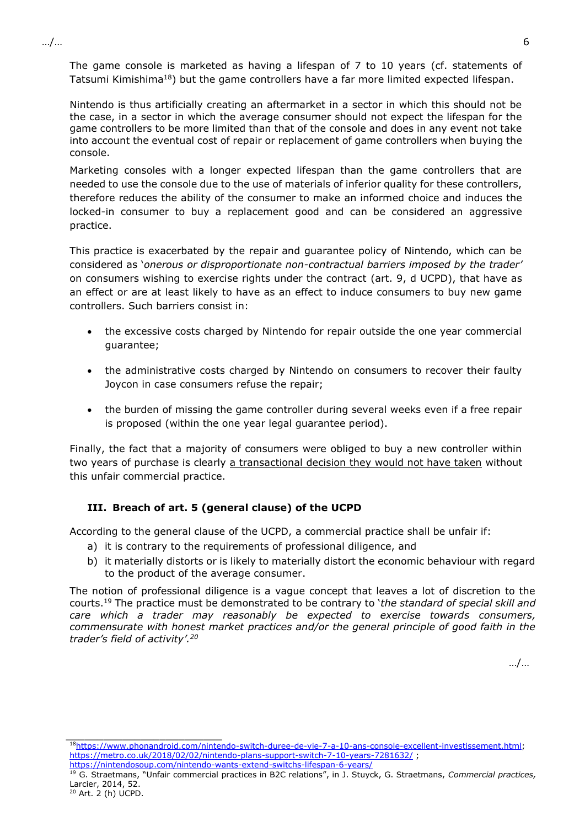…/… 6

The game console is marketed as having a lifespan of 7 to 10 years (cf. statements of Tatsumi Kimishima<sup>18</sup>) but the game controllers have a far more limited expected lifespan.

Nintendo is thus artificially creating an aftermarket in a sector in which this should not be the case, in a sector in which the average consumer should not expect the lifespan for the game controllers to be more limited than that of the console and does in any event not take into account the eventual cost of repair or replacement of game controllers when buying the console.

Marketing consoles with a longer expected lifespan than the game controllers that are needed to use the console due to the use of materials of inferior quality for these controllers, therefore reduces the ability of the consumer to make an informed choice and induces the locked-in consumer to buy a replacement good and can be considered an aggressive practice.

This practice is exacerbated by the repair and guarantee policy of Nintendo, which can be considered as '*onerous or disproportionate non-contractual barriers imposed by the trader'*  on consumers wishing to exercise rights under the contract (art. 9, d UCPD), that have as an effect or are at least likely to have as an effect to induce consumers to buy new game controllers. Such barriers consist in:

- the excessive costs charged by Nintendo for repair outside the one year commercial guarantee;
- the administrative costs charged by Nintendo on consumers to recover their faulty Joycon in case consumers refuse the repair;
- the burden of missing the game controller during several weeks even if a free repair is proposed (within the one year legal guarantee period).

Finally, the fact that a majority of consumers were obliged to buy a new controller within two years of purchase is clearly a transactional decision they would not have taken without this unfair commercial practice.

# **III. Breach of art. 5 (general clause) of the UCPD**

According to the general clause of the UCPD, a commercial practice shall be unfair if:

- a) it is contrary to the requirements of professional diligence, and
- b) it materially distorts or is likely to materially distort the economic behaviour with regard to the product of the average consumer.

The notion of professional diligence is a vague concept that leaves a lot of discretion to the courts.<sup>19</sup> The practice must be demonstrated to be contrary to '*the standard of special skill and care which a trader may reasonably be expected to exercise towards consumers, commensurate with honest market practices and/or the general principle of good faith in the trader's field of activity'.<sup>20</sup>*

…/…

\_\_\_\_\_\_\_\_\_\_\_\_\_\_\_\_\_\_\_\_\_\_\_\_\_

<sup>18</sup>[https://www.phonandroid.com/nintendo-switch-duree-de-vie-7-a-10-ans-console-excellent-investissement.html;](https://www.phonandroid.com/nintendo-switch-duree-de-vie-7-a-10-ans-console-excellent-investissement.html) <https://metro.co.uk/2018/02/02/nintendo-plans-support-switch-7-10-years-7281632/> ; <https://nintendosoup.com/nintendo-wants-extend-switchs-lifespan-6-years/>

<sup>19</sup> G. Straetmans, "Unfair commercial practices in B2C relations", in J. Stuyck, G. Straetmans, *Commercial practices,*  Larcier, 2014, 52.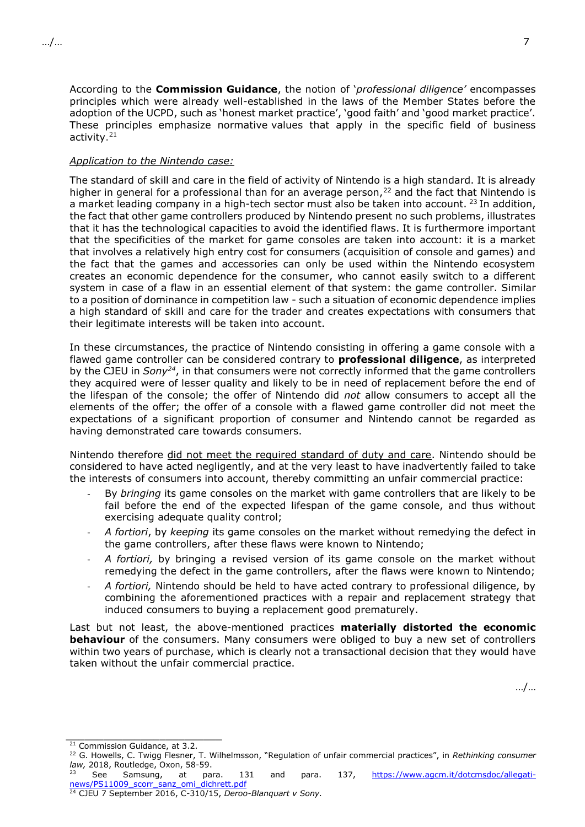According to the **Commission Guidance**, the notion of '*professional diligence'* encompasses principles which were already well-established in the laws of the Member States before the adoption of the UCPD, such as 'honest market practice', 'good faith' and 'good market practice'. These principles emphasize normative values that apply in the specific field of business activity. 21

### *Application to the Nintendo case:*

The standard of skill and care in the field of activity of Nintendo is a high standard. It is already higher in general for a professional than for an average person,<sup>22</sup> and the fact that Nintendo is a market leading company in a high-tech sector must also be taken into account. <sup>23</sup> In addition, the fact that other game controllers produced by Nintendo present no such problems, illustrates that it has the technological capacities to avoid the identified flaws. It is furthermore important that the specificities of the market for game consoles are taken into account: it is a market that involves a relatively high entry cost for consumers (acquisition of console and games) and the fact that the games and accessories can only be used within the Nintendo ecosystem creates an economic dependence for the consumer, who cannot easily switch to a different system in case of a flaw in an essential element of that system: the game controller. Similar to a position of dominance in competition law - such a situation of economic dependence implies a high standard of skill and care for the trader and creates expectations with consumers that their legitimate interests will be taken into account.

In these circumstances, the practice of Nintendo consisting in offering a game console with a flawed game controller can be considered contrary to **professional diligence**, as interpreted by the CJEU in *Sony<sup>24</sup>*, in that consumers were not correctly informed that the game controllers they acquired were of lesser quality and likely to be in need of replacement before the end of the lifespan of the console; the offer of Nintendo did *not* allow consumers to accept all the elements of the offer; the offer of a console with a flawed game controller did not meet the expectations of a significant proportion of consumer and Nintendo cannot be regarded as having demonstrated care towards consumers.

Nintendo therefore did not meet the required standard of duty and care. Nintendo should be considered to have acted negligently, and at the very least to have inadvertently failed to take the interests of consumers into account, thereby committing an unfair commercial practice:

- By *bringing* its game consoles on the market with game controllers that are likely to be fail before the end of the expected lifespan of the game console, and thus without exercising adequate quality control;
- *A fortiori*, by *keeping* its game consoles on the market without remedying the defect in the game controllers, after these flaws were known to Nintendo;
- A fortiori, by bringing a revised version of its game console on the market without remedying the defect in the game controllers, after the flaws were known to Nintendo;
- *A fortiori,* Nintendo should be held to have acted contrary to professional diligence, by combining the aforementioned practices with a repair and replacement strategy that induced consumers to buying a replacement good prematurely.

Last but not least, the above-mentioned practices **materially distorted the economic behaviour** of the consumers. Many consumers were obliged to buy a new set of controllers within two years of purchase, which is clearly not a transactional decision that they would have taken without the unfair commercial practice.

…/…

 \_\_\_\_\_\_\_\_\_\_\_\_\_\_\_\_\_\_\_\_\_\_\_\_\_ <sup>21</sup> Commission Guidance, at 3.2.

See Samsung, at para. 131 and para. 137, [https://www.agcm.it/dotcmsdoc/allegati](https://www.agcm.it/dotcmsdoc/allegati-news/PS11009_scorr_sanz_omi_dichrett.pdf)[news/PS11009\\_scorr\\_sanz\\_omi\\_dichrett.pdf](https://www.agcm.it/dotcmsdoc/allegati-news/PS11009_scorr_sanz_omi_dichrett.pdf)

<sup>22</sup> G. Howells, C. Twigg Flesner, T. Wilhelmsson, "Regulation of unfair commercial practices", in *Rethinking consumer law,* 2018, Routledge, Oxon, 58-59.

<sup>24</sup> CJEU 7 September 2016, C-310/15, *Deroo-Blanquart v Sony.*